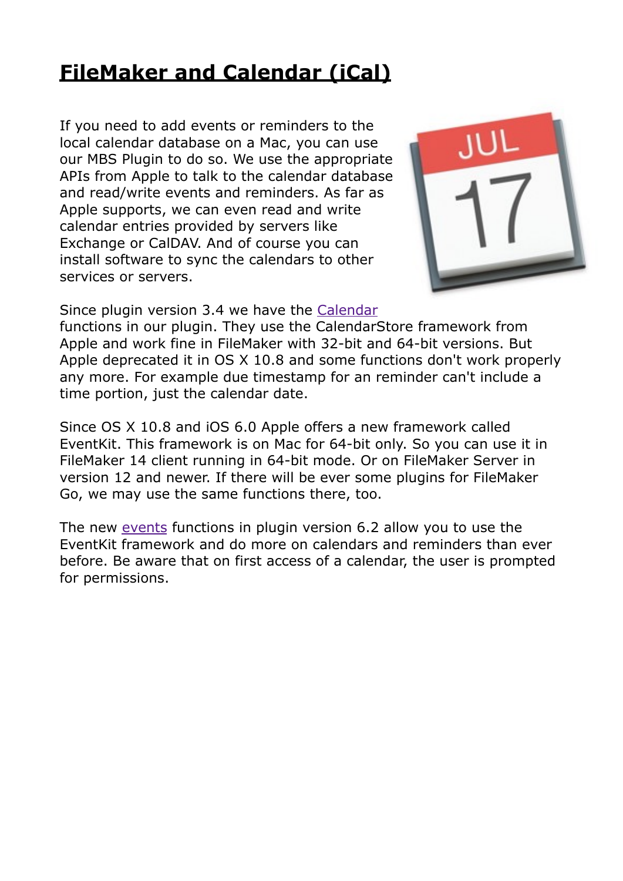## **[FileMaker and Calendar \(iCal\)](https://www.mbsplugins.de/archive/2016-04-23/FileMaker_and_Calendar_(iCal))**

If you need to add events or reminders to the local calendar database on a Mac, you can use our MBS Plugin to do so. We use the appropriate APIs from Apple to talk to the calendar database and read/write events and reminders. As far as Apple supports, we can even read and write calendar entries provided by servers like Exchange or CalDAV. And of course you can install software to sync the calendars to other services or servers.



Since plugin version 3.4 we have the [Calendar](http://www.mbsplugins.eu/component_Calendar.shtml)

functions in our plugin. They use the CalendarStore framework from Apple and work fine in FileMaker with 32-bit and 64-bit versions. But Apple deprecated it in OS X 10.8 and some functions don't work properly any more. For example due timestamp for an reminder can't include a time portion, just the calendar date.

Since OS X 10.8 and iOS 6.0 Apple offers a new framework called EventKit. This framework is on Mac for 64-bit only. So you can use it in FileMaker 14 client running in 64-bit mode. Or on FileMaker Server in version 12 and newer. If there will be ever some plugins for FileMaker Go, we may use the same functions there, too.

The new [events](http://www.mbsplugins.eu/component_Events.shtml) functions in plugin version 6.2 allow you to use the EventKit framework and do more on calendars and reminders than ever before. Be aware that on first access of a calendar, the user is prompted for permissions.